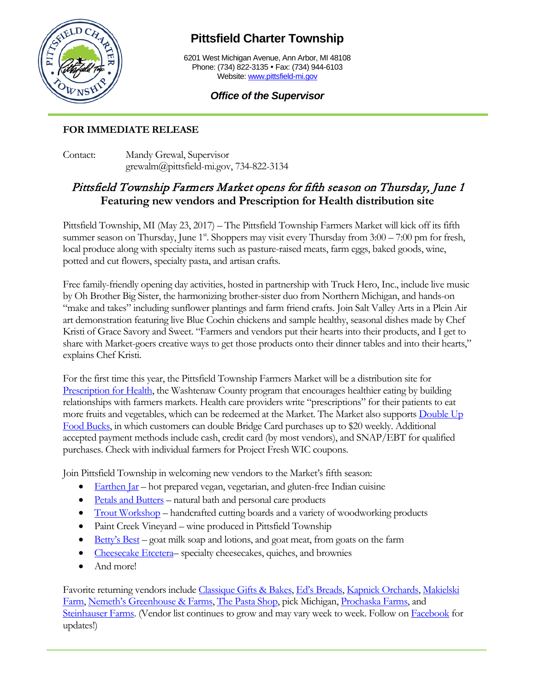

## **Pittsfield Charter Township**

6201 West Michigan Avenue, Ann Arbor, MI 48108 Phone: (734) 822-3135 · Fax: (734) 944-6103 Website: [www.pittsfield-mi.gov](http://www.pittsfield-mi.gov/)

## *Office of the Supervisor*

## **FOR IMMEDIATE RELEASE**

Contact: Mandy Grewal, Supervisor grewalm@pittsfield-mi.gov, 734-822-3134

## Pittsfield Township Farmers Market opens for fifth season on Thursday, June 1 **Featuring new vendors and Prescription for Health distribution site**

Pittsfield Township, MI (May 23, 2017) – The Pittsfield Township Farmers Market will kick off its fifth summer season on Thursday, June 1<sup>st</sup>. Shoppers may visit every Thursday from 3:00 – 7:00 pm for fresh, local produce along with specialty items such as pasture-raised meats, farm eggs, baked goods, wine, potted and cut flowers, specialty pasta, and artisan crafts.

Free family-friendly opening day activities, hosted in partnership with Truck Hero, Inc., include live music by Oh Brother Big Sister, the harmonizing brother-sister duo from Northern Michigan, and hands-on "make and takes" including sunflower plantings and farm friend crafts. Join Salt Valley Arts in a Plein Air art demonstration featuring live Blue Cochin chickens and sample healthy, seasonal dishes made by Chef Kristi of Grace Savory and Sweet. "Farmers and vendors put their hearts into their products, and I get to share with Market-goers creative ways to get those products onto their dinner tables and into their hearts," explains Chef Kristi.

For the first time this year, the Pittsfield Township Farmers Market will be a distribution site for [Prescription for Health,](http://www.ewashtenaw.org/government/departments/public_health/health-promotion/prescription-for-health/prescription-for-health) the Washtenaw County program that encourages healthier eating by building relationships with farmers markets. Health care providers write "prescriptions" for their patients to eat more fruits and vegetables, which can be redeemed at the Market. The Market also support[s Double Up](http://www.doubleupfoodbucks.org/how-it-works/farmers-markets/)  [Food Bucks,](http://www.doubleupfoodbucks.org/how-it-works/farmers-markets/) in which customers can double Bridge Card purchases up to \$20 weekly. Additional accepted payment methods include cash, credit card (by most vendors), and SNAP/EBT for qualified purchases. Check with individual farmers for Project Fresh WIC coupons.

Join Pittsfield Township in welcoming new vendors to the Market's fifth season:

- [Earthen Jar](http://www.earthenjar.com/) hot prepared vegan, vegetarian, and gluten-free Indian cuisine
- [Petals and Butters](https://www.etsy.com/shop/petalsandbutters) natural bath and personal care products
- [Trout Workshop](http://troutworkshop.wixsite.com/madeintheusa) handcrafted cutting boards and a variety of woodworking products
- Paint Creek Vineyard wine produced in Pittsfield Township
- [Betty's Best](http://bettysbestsoap.weebly.com/) goat milk soap and lotions, and goat meat, from goats on the farm
- [Cheesecake Etcetera–](https://www.facebook.com/cheesecakeetcetera/) specialty cheesecakes, quiches, and brownies
- And more!

Favorite returning vendors include [Classique Gifts & Bakes,](https://www.classiquegb.com/) [Ed's Breads,](https://www.facebook.com/Eds-Bread-140055782693624/) [Kapnick Orchards,](http://www.kapnickorchards.com/) [Makielski](http://www.makielskiberryfarm.com/)  [Farm,](http://www.makielskiberryfarm.com/) [Nemeth's Greenhouse & Farms,](http://www.nemethsmilan.com/) [The Pasta Shop,](https://www.pastashopplymouth.com/) pick Michigan, [Prochaska Farms,](http://www.prochaskafarms.com/) and [Steinhauser Farms.](http://steinhauserfarms.com/) (Vendor list continues to grow and may vary week to week. Follow o[n Facebook](http://www.facebook.com/pittsfieldtwpfarmersmarket) for updates!)